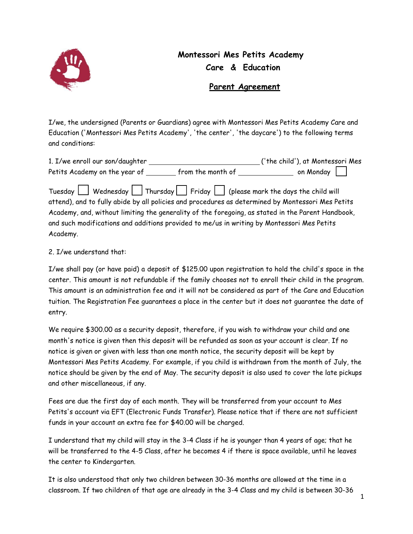

## **Montessori Mes Petits Academy Care & Education**

## **Parent Agreement**

I/we, the undersigned (Parents or Guardians) agree with Montessori Mes Petits Academy Care and Education ('Montessori Mes Petits Academy', 'the center', 'the daycare') to the following terms and conditions:

| 1. I/we enroll our son/daughter |                   | ('the child'), at Montessori Mes |  |
|---------------------------------|-------------------|----------------------------------|--|
| Petits Academy on the year of   | from the month of | on Monday                        |  |
|                                 |                   |                                  |  |

Tuesday  $\vert$  Wednesday  $\vert$  Thursday  $\vert$  Friday  $\vert$  (please mark the days the child will attend), and to fully abide by all policies and procedures as determined by Montessori Mes Petits Academy, and, without limiting the generality of the foregoing, as stated in the Parent Handbook, and such modifications and additions provided to me/us in writing by Montessori Mes Petits Academy.

## 2. I/we understand that:

I/we shall pay (or have paid) a deposit of \$125.00 upon registration to hold the child's space in the center. This amount is not refundable if the family chooses not to enroll their child in the program. This amount is an administration fee and it will not be considered as part of the Care and Education tuition. The Registration Fee guarantees a place in the center but it does not guarantee the date of entry.

We require \$300.00 as a security deposit, therefore, if you wish to withdraw your child and one month's notice is given then this deposit will be refunded as soon as your account is clear. If no notice is given or given with less than one month notice, the security deposit will be kept by Montessori Mes Petits Academy. For example, if you child is withdrawn from the month of July, the notice should be given by the end of May. The security deposit is also used to cover the late pickups and other miscellaneous, if any.

Fees are due the first day of each month. They will be transferred from your account to Mes Petits's account via EFT (Electronic Funds Transfer). Please notice that if there are not sufficient funds in your account an extra fee for \$40.00 will be charged.

I understand that my child will stay in the 3-4 Class if he is younger than 4 years of age; that he will be transferred to the 4-5 Class, after he becomes 4 if there is space available, until he leaves the center to Kindergarten.

It is also understood that only two children between 30-36 months are allowed at the time in a classroom. If two children of that age are already in the 3-4 Class and my child is between 30-36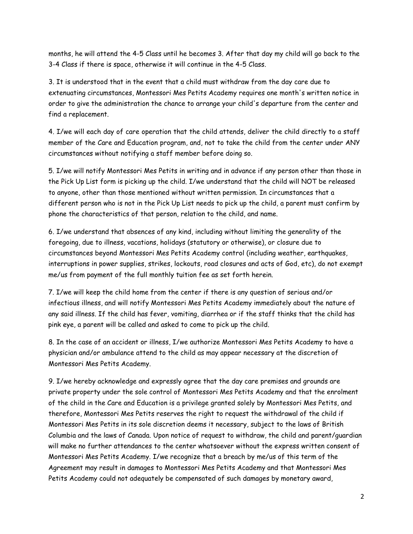months, he will attend the 4-5 Class until he becomes 3. After that day my child will go back to the 3-4 Class if there is space, otherwise it will continue in the 4-5 Class.

3. It is understood that in the event that a child must withdraw from the day care due to extenuating circumstances, Montessori Mes Petits Academy requires one month's written notice in order to give the administration the chance to arrange your child's departure from the center and find a replacement.

4. I/we will each day of care operation that the child attends, deliver the child directly to a staff member of the Care and Education program, and, not to take the child from the center under ANY circumstances without notifying a staff member before doing so.

5. I/we will notify Montessori Mes Petits in writing and in advance if any person other than those in the Pick Up List form is picking up the child. I/we understand that the child will NOT be released to anyone, other than those mentioned without written permission. In circumstances that a different person who is not in the Pick Up List needs to pick up the child, a parent must confirm by phone the characteristics of that person, relation to the child, and name.

6. I/we understand that absences of any kind, including without limiting the generality of the foregoing, due to illness, vacations, holidays (statutory or otherwise), or closure due to circumstances beyond Montessori Mes Petits Academy control (including weather, earthquakes, interruptions in power supplies, strikes, lockouts, road closures and acts of God, etc), do not exempt me/us from payment of the full monthly tuition fee as set forth herein.

7. I/we will keep the child home from the center if there is any question of serious and/or infectious illness, and will notify Montessori Mes Petits Academy immediately about the nature of any said illness. If the child has fever, vomiting, diarrhea or if the staff thinks that the child has pink eye, a parent will be called and asked to come to pick up the child.

8. In the case of an accident or illness, I/we authorize Montessori Mes Petits Academy to have a physician and/or ambulance attend to the child as may appear necessary at the discretion of Montessori Mes Petits Academy.

9. I/we hereby acknowledge and expressly agree that the day care premises and grounds are private property under the sole control of Montessori Mes Petits Academy and that the enrolment of the child in the Care and Education is a privilege granted solely by Montessori Mes Petits, and therefore, Montessori Mes Petits reserves the right to request the withdrawal of the child if Montessori Mes Petits in its sole discretion deems it necessary, subject to the laws of British Columbia and the laws of Canada. Upon notice of request to withdraw, the child and parent/guardian will make no further attendances to the center whatsoever without the express written consent of Montessori Mes Petits Academy. I/we recognize that a breach by me/us of this term of the Agreement may result in damages to Montessori Mes Petits Academy and that Montessori Mes Petits Academy could not adequately be compensated of such damages by monetary award,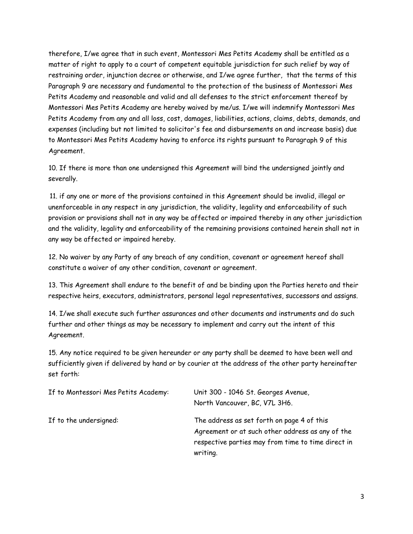therefore, I/we agree that in such event, Montessori Mes Petits Academy shall be entitled as a matter of right to apply to a court of competent equitable jurisdiction for such relief by way of restraining order, injunction decree or otherwise, and I/we agree further, that the terms of this Paragraph 9 are necessary and fundamental to the protection of the business of Montessori Mes Petits Academy and reasonable and valid and all defenses to the strict enforcement thereof by Montessori Mes Petits Academy are hereby waived by me/us. I/we will indemnify Montessori Mes Petits Academy from any and all loss, cost, damages, liabilities, actions, claims, debts, demands, and expenses (including but not limited to solicitor's fee and disbursements on and increase basis) due to Montessori Mes Petits Academy having to enforce its rights pursuant to Paragraph 9 of this Agreement.

10. If there is more than one undersigned this Agreement will bind the undersigned jointly and severally.

11. if any one or more of the provisions contained in this Agreement should be invalid, illegal or unenforceable in any respect in any jurisdiction, the validity, legality and enforceability of such provision or provisions shall not in any way be affected or impaired thereby in any other jurisdiction and the validity, legality and enforceability of the remaining provisions contained herein shall not in any way be affected or impaired hereby.

12. No waiver by any Party of any breach of any condition, covenant or agreement hereof shall constitute a waiver of any other condition, covenant or agreement.

13. This Agreement shall endure to the benefit of and be binding upon the Parties hereto and their respective heirs, executors, administrators, personal legal representatives, successors and assigns.

14. I/we shall execute such further assurances and other documents and instruments and do such further and other things as may be necessary to implement and carry out the intent of this Agreement.

15. Any notice required to be given hereunder or any party shall be deemed to have been well and sufficiently given if delivered by hand or by courier at the address of the other party hereinafter set forth:

| If to Montessori Mes Petits Academy: | Unit 300 - 1046 St. Georges Avenue,<br>North Vancouver, BC, V7L 3H6.                                                                                             |
|--------------------------------------|------------------------------------------------------------------------------------------------------------------------------------------------------------------|
| If to the undersigned:               | The address as set forth on page 4 of this<br>Agreement or at such other address as any of the<br>respective parties may from time to time direct in<br>writing. |